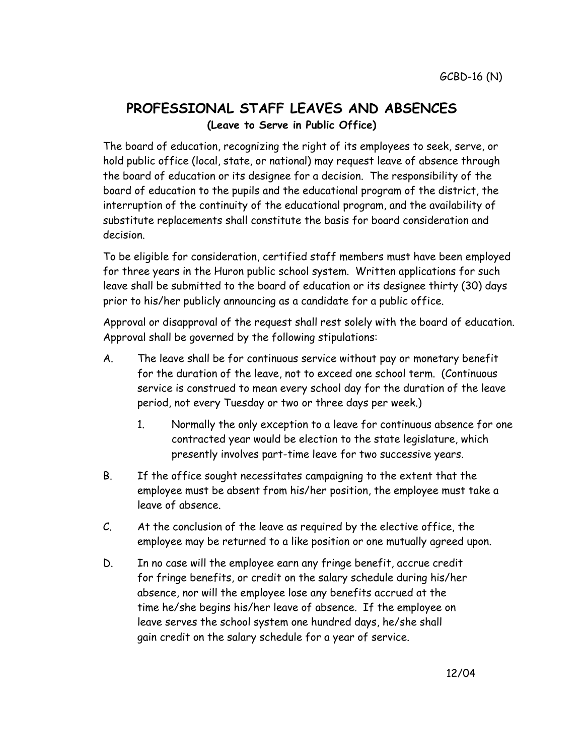## **PROFESSIONAL STAFF LEAVES AND ABSENCES (Leave to Serve in Public Office)**

The board of education, recognizing the right of its employees to seek, serve, or hold public office (local, state, or national) may request leave of absence through the board of education or its designee for a decision. The responsibility of the board of education to the pupils and the educational program of the district, the interruption of the continuity of the educational program, and the availability of substitute replacements shall constitute the basis for board consideration and decision.

To be eligible for consideration, certified staff members must have been employed for three years in the Huron public school system. Written applications for such leave shall be submitted to the board of education or its designee thirty (30) days prior to his/her publicly announcing as a candidate for a public office.

Approval or disapproval of the request shall rest solely with the board of education. Approval shall be governed by the following stipulations:

- A. The leave shall be for continuous service without pay or monetary benefit for the duration of the leave, not to exceed one school term. (Continuous service is construed to mean every school day for the duration of the leave period, not every Tuesday or two or three days per week.)
	- 1. Normally the only exception to a leave for continuous absence for one contracted year would be election to the state legislature, which presently involves part-time leave for two successive years.
- B. If the office sought necessitates campaigning to the extent that the employee must be absent from his/her position, the employee must take a leave of absence.
- C. At the conclusion of the leave as required by the elective office, the employee may be returned to a like position or one mutually agreed upon.
- D. In no case will the employee earn any fringe benefit, accrue credit for fringe benefits, or credit on the salary schedule during his/her absence, nor will the employee lose any benefits accrued at the time he/she begins his/her leave of absence. If the employee on leave serves the school system one hundred days, he/she shall gain credit on the salary schedule for a year of service.